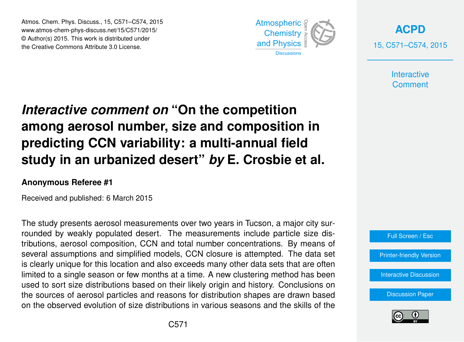Atmos. Chem. Phys. Discuss., 15, C571–C574, 2015 www.atmos-chem-phys-discuss.net/15/C571/2015/ © Author(s) 2015. This work is distributed under the Creative Commons Attribute 3.0 License.



**[ACPD](http://www.atmos-chem-phys-discuss.net)** 15, C571–C574, 2015

> **Interactive Comment**

# *Interactive comment on* **"On the competition among aerosol number, size and composition in predicting CCN variability: a multi-annual field study in an urbanized desert"** *by* **E. Crosbie et al.**

## **Anonymous Referee #1**

Received and published: 6 March 2015

The study presents aerosol measurements over two years in Tucson, a major city surrounded by weakly populated desert. The measurements include particle size distributions, aerosol composition, CCN and total number concentrations. By means of several assumptions and simplified models, CCN closure is attempted. The data set is clearly unique for this location and also exceeds many other data sets that are often limited to a single season or few months at a time. A new clustering method has been used to sort size distributions based on their likely origin and history. Conclusions on the sources of aerosol particles and reasons for distribution shapes are drawn based on the observed evolution of size distributions in various seasons and the skills of the



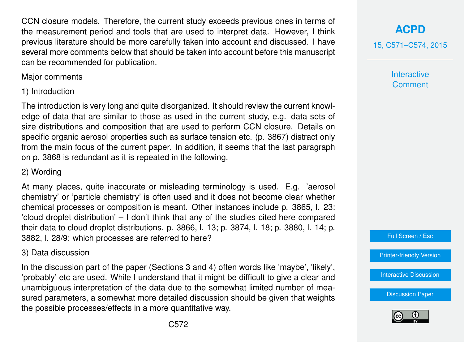CCN closure models. Therefore, the current study exceeds previous ones in terms of the measurement period and tools that are used to interpret data. However, I think previous literature should be more carefully taken into account and discussed. I have several more comments below that should be taken into account before this manuscript can be recommended for publication.

Major comments

1) Introduction

The introduction is very long and quite disorganized. It should review the current knowledge of data that are similar to those as used in the current study, e.g. data sets of size distributions and composition that are used to perform CCN closure. Details on specific organic aerosol properties such as surface tension etc. (p. 3867) distract only from the main focus of the current paper. In addition, it seems that the last paragraph on p. 3868 is redundant as it is repeated in the following.

## 2) Wording

At many places, quite inaccurate or misleading terminology is used. E.g. 'aerosol chemistry' or 'particle chemistry' is often used and it does not become clear whether chemical processes or composition is meant. Other instances include p. 3865, l. 23: 'cloud droplet distribution' – I don't think that any of the studies cited here compared their data to cloud droplet distributions. p. 3866, l. 13; p. 3874, l. 18; p. 3880, l. 14; p. 3882, l. 28/9: which processes are referred to here?

## 3) Data discussion

In the discussion part of the paper (Sections 3 and 4) often words like 'maybe', 'likely', 'probably' etc are used. While I understand that it might be difficult to give a clear and unambiguous interpretation of the data due to the somewhat limited number of measured parameters, a somewhat more detailed discussion should be given that weights the possible processes/effects in a more quantitative way.



15, C571–C574, 2015

**Interactive Comment** 

Full Screen / Esc

[Printer-friendly Version](http://www.atmos-chem-phys-discuss.net/15/C571/2015/acpd-15-C571-2015-print.pdf)

[Interactive Discussion](http://www.atmos-chem-phys-discuss.net/15/3863/2015/acpd-15-3863-2015-discussion.html)

[Discussion Paper](http://www.atmos-chem-phys-discuss.net/15/3863/2015/acpd-15-3863-2015.pdf)

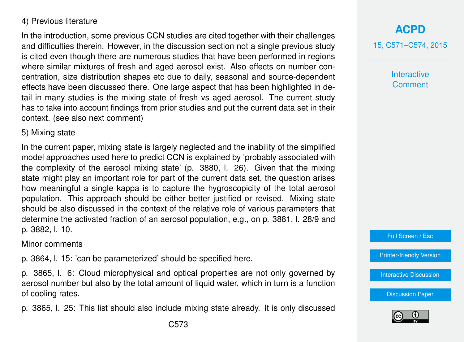### 4) Previous literature

In the introduction, some previous CCN studies are cited together with their challenges and difficulties therein. However, in the discussion section not a single previous study is cited even though there are numerous studies that have been performed in regions where similar mixtures of fresh and aged aerosol exist. Also effects on number concentration, size distribution shapes etc due to daily, seasonal and source-dependent effects have been discussed there. One large aspect that has been highlighted in detail in many studies is the mixing state of fresh vs aged aerosol. The current study has to take into account findings from prior studies and put the current data set in their context. (see also next comment)

#### 5) Mixing state

In the current paper, mixing state is largely neglected and the inability of the simplified model approaches used here to predict CCN is explained by 'probably associated with the complexity of the aerosol mixing state' (p. 3880, l. 26). Given that the mixing state might play an important role for part of the current data set, the question arises how meaningful a single kappa is to capture the hygroscopicity of the total aerosol population. This approach should be either better justified or revised. Mixing state should be also discussed in the context of the relative role of various parameters that determine the activated fraction of an aerosol population, e.g., on p. 3881, l. 28/9 and p. 3882, l. 10.

#### Minor comments

p. 3864, l. 15: 'can be parameterized' should be specified here.

p. 3865, l. 6: Cloud microphysical and optical properties are not only governed by aerosol number but also by the total amount of liquid water, which in turn is a function of cooling rates.

p. 3865, l. 25: This list should also include mixing state already. It is only discussed

15, C571–C574, 2015

**Interactive Comment** 

Full Screen / Esc

[Printer-friendly Version](http://www.atmos-chem-phys-discuss.net/15/C571/2015/acpd-15-C571-2015-print.pdf)

[Interactive Discussion](http://www.atmos-chem-phys-discuss.net/15/3863/2015/acpd-15-3863-2015-discussion.html)

[Discussion Paper](http://www.atmos-chem-phys-discuss.net/15/3863/2015/acpd-15-3863-2015.pdf)